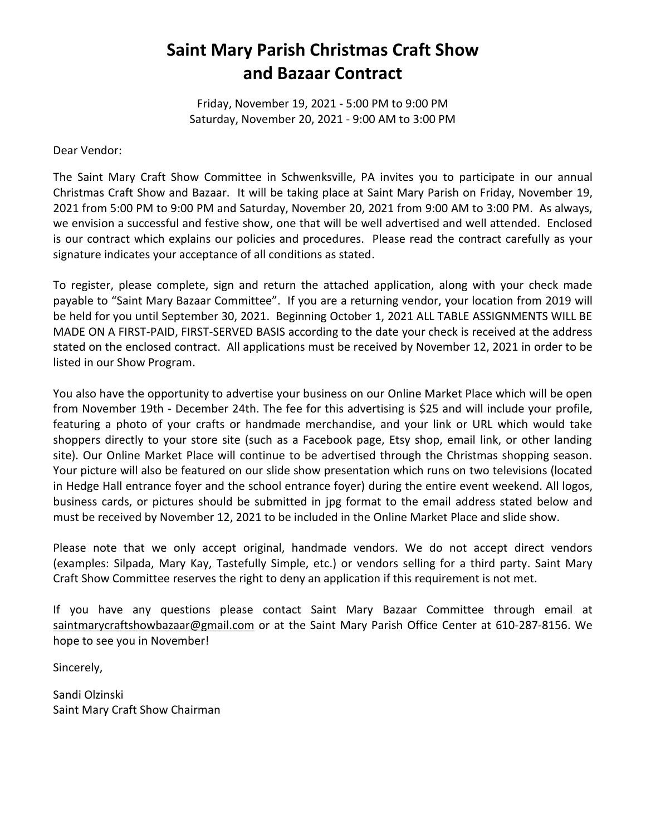## **Saint Mary Parish Christmas Craft Show and Bazaar Contract**

Friday, November 19, 2021 - 5:00 PM to 9:00 PM Saturday, November 20, 2021 - 9:00 AM to 3:00 PM

Dear Vendor:

The Saint Mary Craft Show Committee in Schwenksville, PA invites you to participate in our annual Christmas Craft Show and Bazaar. It will be taking place at Saint Mary Parish on Friday, November 19, 2021 from 5:00 PM to 9:00 PM and Saturday, November 20, 2021 from 9:00 AM to 3:00 PM. As always, we envision a successful and festive show, one that will be well advertised and well attended. Enclosed is our contract which explains our policies and procedures. Please read the contract carefully as your signature indicates your acceptance of all conditions as stated.

To register, please complete, sign and return the attached application, along with your check made payable to "Saint Mary Bazaar Committee". If you are a returning vendor, your location from 2019 will be held for you until September 30, 2021. Beginning October 1, 2021 ALL TABLE ASSIGNMENTS WILL BE MADE ON A FIRST-PAID, FIRST-SERVED BASIS according to the date your check is received at the address stated on the enclosed contract. All applications must be received by November 12, 2021 in order to be listed in our Show Program.

You also have the opportunity to advertise your business on our Online Market Place which will be open from November 19th - December 24th. The fee for this advertising is \$25 and will include your profile, featuring a photo of your crafts or handmade merchandise, and your link or URL which would take shoppers directly to your store site (such as a Facebook page, Etsy shop, email link, or other landing site). Our Online Market Place will continue to be advertised through the Christmas shopping season. Your picture will also be featured on our slide show presentation which runs on two televisions (located in Hedge Hall entrance foyer and the school entrance foyer) during the entire event weekend. All logos, business cards, or pictures should be submitted in jpg format to the email address stated below and must be received by November 12, 2021 to be included in the Online Market Place and slide show.

Please note that we only accept original, handmade vendors. We do not accept direct vendors (examples: Silpada, Mary Kay, Tastefully Simple, etc.) or vendors selling for a third party. Saint Mary Craft Show Committee reserves the right to deny an application if this requirement is not met.

If you have any questions please contact Saint Mary Bazaar Committee through email at saintmarycraftshowbazaar@gmail.com or at the Saint Mary Parish Office Center at 610-287-8156. We hope to see you in November!

Sincerely,

Sandi Olzinski Saint Mary Craft Show Chairman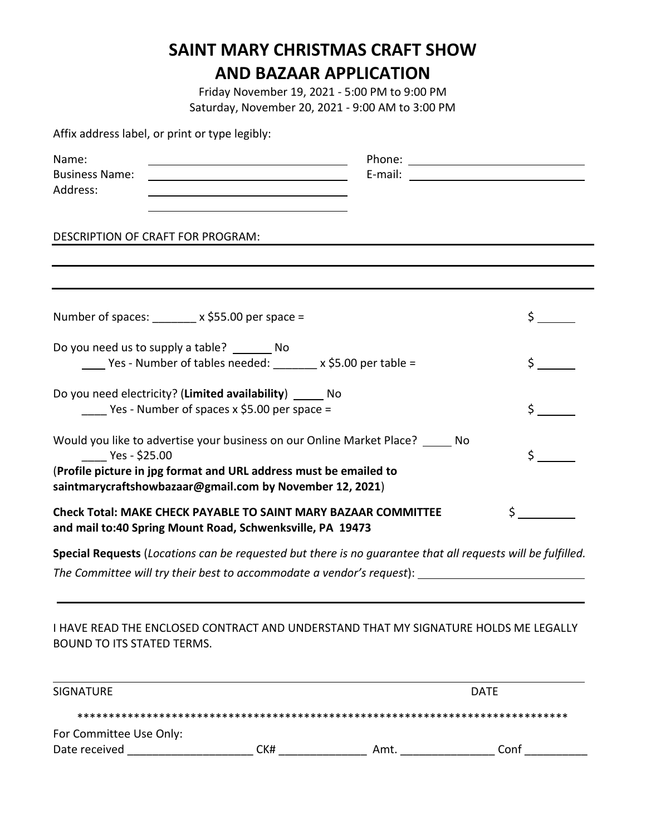## **SAINT MARY CHRISTMAS CRAFT SHOW AND BAZAAR APPLICATION**

Friday November 19, 2021 - 5:00 PM to 9:00 PM Saturday, November 20, 2021 - 9:00 AM to 3:00 PM

| Affix address label, or print or type legibly: |  |  |  |  |  |  |  |
|------------------------------------------------|--|--|--|--|--|--|--|
|------------------------------------------------|--|--|--|--|--|--|--|

| Name:<br><b>Business Name:</b><br>Address:                                                                                                                                                                                       |  |                |
|----------------------------------------------------------------------------------------------------------------------------------------------------------------------------------------------------------------------------------|--|----------------|
| DESCRIPTION OF CRAFT FOR PROGRAM:                                                                                                                                                                                                |  |                |
| Number of spaces: _______ x \$55.00 per space =                                                                                                                                                                                  |  | $\mathsf{S}$ . |
| Do you need us to supply a table? ________ No<br>_____ Yes - Number of tables needed: ________ x \$5.00 per table =                                                                                                              |  | $\frac{1}{2}$  |
| Do you need electricity? (Limited availability) ______ No<br>$\frac{1}{2}$ Yes - Number of spaces x \$5.00 per space =                                                                                                           |  | Ś,             |
| Would you like to advertise your business on our Online Market Place? _____ No<br>Yes - \$25.00<br>(Profile picture in jpg format and URL address must be emailed to<br>saintmarycraftshowbazaar@gmail.com by November 12, 2021) |  |                |
| <b>Check Total: MAKE CHECK PAYABLE TO SAINT MARY BAZAAR COMMITTEE</b><br>and mail to:40 Spring Mount Road, Schwenksville, PA 19473                                                                                               |  |                |
| Special Requests (Locations can be requested but there is no guarantee that all requests will be fulfilled.                                                                                                                      |  |                |

I HAVE READ THE ENCLOSED CONTRACT AND UNDERSTAND THAT MY SIGNATURE HOLDS ME LEGALLY BOUND TO ITS STATED TERMS.

| <b>SIGNATURE</b>        |     | <b>DATE</b> |      |  |
|-------------------------|-----|-------------|------|--|
|                         |     |             |      |  |
| For Committee Use Only: |     |             |      |  |
| Date received           | CK# | Amt.        | Conf |  |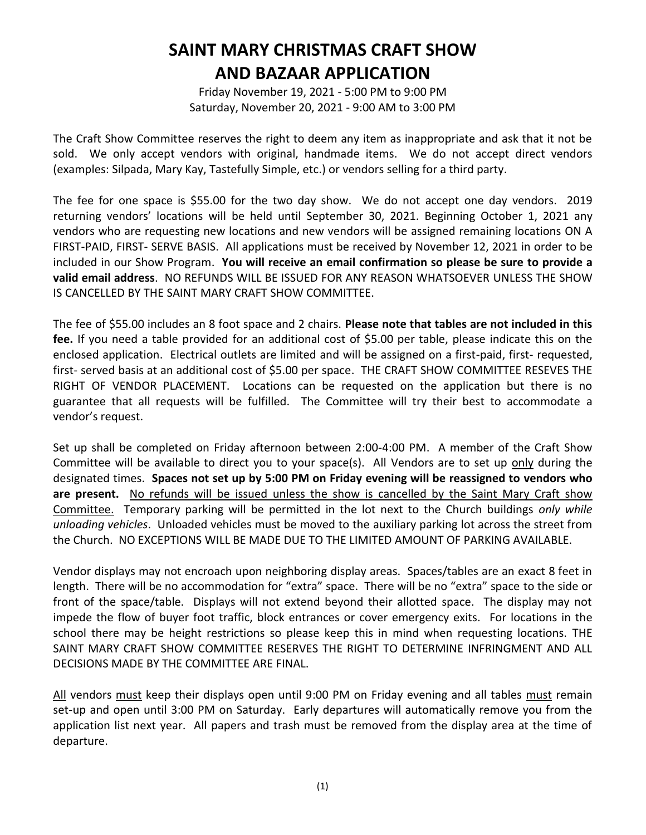## **SAINT MARY CHRISTMAS CRAFT SHOW AND BAZAAR APPLICATION**

Friday November 19, 2021 - 5:00 PM to 9:00 PM Saturday, November 20, 2021 - 9:00 AM to 3:00 PM

The Craft Show Committee reserves the right to deem any item as inappropriate and ask that it not be sold. We only accept vendors with original, handmade items. We do not accept direct vendors (examples: Silpada, Mary Kay, Tastefully Simple, etc.) or vendors selling for a third party.

The fee for one space is \$55.00 for the two day show. We do not accept one day vendors. 2019 returning vendors' locations will be held until September 30, 2021. Beginning October 1, 2021 any vendors who are requesting new locations and new vendors will be assigned remaining locations ON A FIRST-PAID, FIRST- SERVE BASIS. All applications must be received by November 12, 2021 in order to be included in our Show Program. **You will receive an email confirmation so please be sure to provide a valid email address**. NO REFUNDS WILL BE ISSUED FOR ANY REASON WHATSOEVER UNLESS THE SHOW IS CANCELLED BY THE SAINT MARY CRAFT SHOW COMMITTEE.

The fee of \$55.00 includes an 8 foot space and 2 chairs. **Please note that tables are not included in this fee.** If you need a table provided for an additional cost of \$5.00 per table, please indicate this on the enclosed application. Electrical outlets are limited and will be assigned on a first-paid, first- requested, first- served basis at an additional cost of \$5.00 per space. THE CRAFT SHOW COMMITTEE RESEVES THE RIGHT OF VENDOR PLACEMENT. Locations can be requested on the application but there is no guarantee that all requests will be fulfilled. The Committee will try their best to accommodate a vendor's request.

Set up shall be completed on Friday afternoon between 2:00-4:00 PM. A member of the Craft Show Committee will be available to direct you to your space(s). All Vendors are to set up only during the designated times. **Spaces not set up by 5:00 PM on Friday evening will be reassigned to vendors who are present.** No refunds will be issued unless the show is cancelled by the Saint Mary Craft show Committee. Temporary parking will be permitted in the lot next to the Church buildings *only while unloading vehicles*. Unloaded vehicles must be moved to the auxiliary parking lot across the street from the Church. NO EXCEPTIONS WILL BE MADE DUE TO THE LIMITED AMOUNT OF PARKING AVAILABLE.

Vendor displays may not encroach upon neighboring display areas. Spaces/tables are an exact 8 feet in length. There will be no accommodation for "extra" space. There will be no "extra" space to the side or front of the space/table. Displays will not extend beyond their allotted space. The display may not impede the flow of buyer foot traffic, block entrances or cover emergency exits. For locations in the school there may be height restrictions so please keep this in mind when requesting locations. THE SAINT MARY CRAFT SHOW COMMITTEE RESERVES THE RIGHT TO DETERMINE INFRINGMENT AND ALL DECISIONS MADE BY THE COMMITTEE ARE FINAL.

All vendors must keep their displays open until 9:00 PM on Friday evening and all tables must remain set-up and open until 3:00 PM on Saturday. Early departures will automatically remove you from the application list next year. All papers and trash must be removed from the display area at the time of departure.